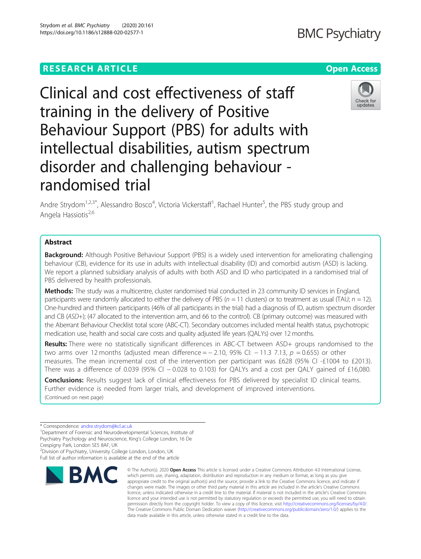## **RESEARCH ARTICLE Example 2014 12:30 The Contract of Contract ACCESS**

# Clinical and cost effectiveness of staff training in the delivery of Positive Behaviour Support (PBS) for adults with intellectual disabilities, autism spectrum disorder and challenging behaviour randomised trial

Andre Strydom<sup>1,2,3\*</sup>, Alessandro Bosco<sup>4</sup>, Victoria Vickerstaff<sup>1</sup>, Rachael Hunter<sup>5</sup>, the PBS study group and Angela Hassiotis<sup>2,6</sup>

## Abstract

**Background:** Although Positive Behaviour Support (PBS) is a widely used intervention for ameliorating challenging behaviour (CB), evidence for its use in adults with intellectual disability (ID) and comorbid autism (ASD) is lacking. We report a planned subsidiary analysis of adults with both ASD and ID who participated in a randomised trial of PBS delivered by health professionals.

Methods: The study was a multicentre, cluster randomised trial conducted in 23 community ID services in England, participants were randomly allocated to either the delivery of PBS ( $n = 11$  clusters) or to treatment as usual (TAU;  $n = 12$ ). One-hundred and thirteen participants (46% of all participants in the trial) had a diagnosis of ID, autism spectrum disorder and CB (ASD+); (47 allocated to the intervention arm, and 66 to the control). CB (primary outcome) was measured with the Aberrant Behaviour Checklist total score (ABC-CT). Secondary outcomes included mental health status, psychotropic medication use, health and social care costs and quality adjusted life years (QALYs) over 12 months.

Results: There were no statistically significant differences in ABC-CT between ASD+ groups randomised to the two arms over 12 months (adjusted mean difference =  $-$  2.10, 95% CI:  $-$  11.3 7.13,  $p = 0.655$ ) or other measures. The mean incremental cost of the intervention per participant was £628 (95% CI -£1004 to £2013). There was a difference of 0.039 (95% CI  $-0.028$  to 0.103) for QALYs and a cost per QALY gained of £16,080.

**Conclusions:** Results suggest lack of clinical effectiveness for PBS delivered by specialist ID clinical teams. Further evidence is needed from larger trials, and development of improved interventions. (Continued on next page)

\* Correspondence: [andre.strydom@kcl.ac.uk](mailto:andre.strydom@kcl.ac.uk) <sup>1</sup>

<sup>1</sup> Department of Forensic and Neurodevelopmental Sciences, Institute of Psychiatry Psychology and Neuroscience, King's College London, 16 De

Crespigny Park, London SE5 8AF, UK

<sup>2</sup> Division of Psychiatry, University College London, London, UK Full list of author information is available at the end of the article



<sup>©</sup> The Author(s), 2020 **Open Access** This article is licensed under a Creative Commons Attribution 4.0 International License, which permits use, sharing, adaptation, distribution and reproduction in any medium or format, as long as you give appropriate credit to the original author(s) and the source, provide a link to the Creative Commons licence, and indicate if changes were made. The images or other third party material in this article are included in the article's Creative Commons licence, unless indicated otherwise in a credit line to the material. If material is not included in the article's Creative Commons licence and your intended use is not permitted by statutory regulation or exceeds the permitted use, you will need to obtain permission directly from the copyright holder. To view a copy of this licence, visit [http://creativecommons.org/licenses/by/4.0/.](http://creativecommons.org/licenses/by/4.0/) The Creative Commons Public Domain Dedication waiver [\(http://creativecommons.org/publicdomain/zero/1.0/](http://creativecommons.org/publicdomain/zero/1.0/)) applies to the data made available in this article, unless otherwise stated in a credit line to the data.

updates



**BMC Psychiatry**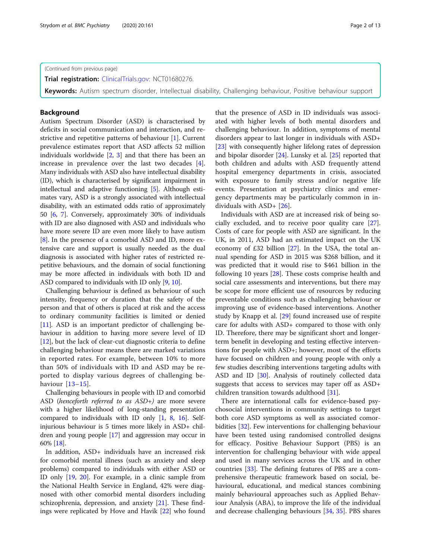(Continued from previous page)

**Trial registration:** [ClinicalTrials.gov:](http://clinicaltrials.gov) NCT01680276.

Keywords: Autism spectrum disorder, Intellectual disability, Challenging behaviour, Positive behaviour support

## Background

Autism Spectrum Disorder (ASD) is characterised by deficits in social communication and interaction, and restrictive and repetitive patterns of behaviour [[1\]](#page-11-0). Current prevalence estimates report that ASD affects 52 million individuals worldwide [\[2,](#page-11-0) [3\]](#page-11-0) and that there has been an increase in prevalence over the last two decades [\[4](#page-11-0)]. Many individuals with ASD also have intellectual disability (ID), which is characterised by significant impairment in intellectual and adaptive functioning [\[5](#page-11-0)]. Although estimates vary, ASD is a strongly associated with intellectual disability, with an estimated odds ratio of approximately 50 [\[6](#page-11-0), [7\]](#page-11-0). Conversely, approximately 30% of individuals with ID are also diagnosed with ASD and individuals who have more severe ID are even more likely to have autism [[8\]](#page-11-0). In the presence of a comorbid ASD and ID, more extensive care and support is usually needed as the dual diagnosis is associated with higher rates of restricted repetitive behaviours, and the domain of social functioning may be more affected in individuals with both ID and ASD compared to individuals with ID only [\[9,](#page-11-0) [10](#page-11-0)].

Challenging behaviour is defined as behaviour of such intensity, frequency or duration that the safety of the person and that of others is placed at risk and the access to ordinary community facilities is limited or denied [[11\]](#page-11-0). ASD is an important predictor of challenging behaviour in addition to having more severe level of ID [[12\]](#page-11-0), but the lack of clear-cut diagnostic criteria to define challenging behaviour means there are marked variations in reported rates. For example, between 10% to more than 50% of individuals with ID and ASD may be reported to display various degrees of challenging behaviour [[13](#page-11-0)–[15\]](#page-11-0).

Challenging behaviours in people with ID and comorbid ASD (henceforth referred to as ASD+) are more severe with a higher likelihood of long-standing presentation compared to individuals with ID only [[1,](#page-11-0) [8,](#page-11-0) [16\]](#page-11-0). Selfinjurious behaviour is 5 times more likely in ASD+ children and young people [\[17](#page-11-0)] and aggression may occur in 60% [[18](#page-11-0)].

In addition, ASD+ individuals have an increased risk for comorbid mental illness (such as anxiety and sleep problems) compared to individuals with either ASD or ID only [\[19](#page-11-0), [20](#page-11-0)]. For example, in a clinic sample from the National Health Service in England, 42% were diagnosed with other comorbid mental disorders including schizophrenia, depression, and anxiety [[21](#page-11-0)]. These findings were replicated by Hove and Havik [[22](#page-11-0)] who found that the presence of ASD in ID individuals was associated with higher levels of both mental disorders and challenging behaviour. In addition, symptoms of mental disorders appear to last longer in individuals with ASD+ [[23\]](#page-11-0) with consequently higher lifelong rates of depression and bipolar disorder [\[24\]](#page-11-0). Lunsky et al. [\[25\]](#page-11-0) reported that both children and adults with ASD frequently attend hospital emergency departments in crisis, associated with exposure to family stress and/or negative life events. Presentation at psychiatry clinics and emergency departments may be particularly common in individuals with ASD+ [\[26](#page-11-0)].

Individuals with ASD are at increased risk of being socially excluded, and to receive poor quality care [\[27](#page-11-0)]. Costs of care for people with ASD are significant. In the UK, in 2011, ASD had an estimated impact on the UK economy of £32 billion [\[27](#page-11-0)]. In the USA, the total annual spending for ASD in 2015 was \$268 billion, and it was predicted that it would rise to \$461 billion in the following 10 years [[28](#page-11-0)]. These costs comprise health and social care assessments and interventions, but there may be scope for more efficient use of resources by reducing preventable conditions such as challenging behaviour or improving use of evidence-based interventions. Another study by Knapp et al. [[29\]](#page-11-0) found increased use of respite care for adults with ASD+ compared to those with only ID. Therefore, there may be significant short and longerterm benefit in developing and testing effective interventions for people with ASD+; however, most of the efforts have focused on children and young people with only a few studies describing interventions targeting adults with ASD and ID [\[30\]](#page-11-0). Analysis of routinely collected data suggests that access to services may taper off as ASD+ children transition towards adulthood [\[31\]](#page-11-0).

There are international calls for evidence-based psychosocial interventions in community settings to target both core ASD symptoms as well as associated comorbidities [\[32](#page-11-0)]. Few interventions for challenging behaviour have been tested using randomised controlled designs for efficacy. Positive Behaviour Support (PBS) is an intervention for challenging behaviour with wide appeal and used in many services across the UK and in other countries [[33](#page-11-0)]. The defining features of PBS are a comprehensive therapeutic framework based on social, behavioural, educational, and medical stances combining mainly behavioural approaches such as Applied Behaviour Analysis (ABA), to improve the life of the individual and decrease challenging behaviours [[34](#page-11-0), [35](#page-11-0)]. PBS shares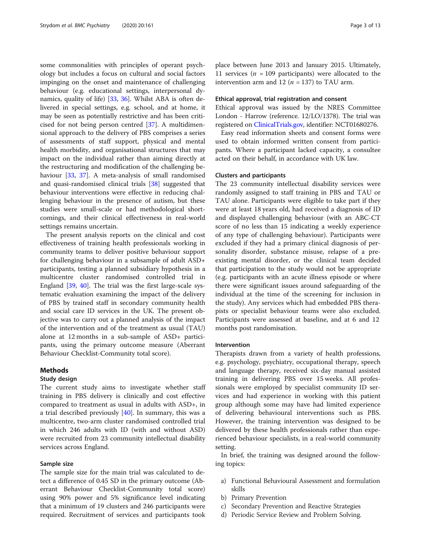some commonalities with principles of operant psychology but includes a focus on cultural and social factors impinging on the onset and maintenance of challenging behaviour (e.g. educational settings, interpersonal dynamics, quality of life) [[33](#page-11-0), [36\]](#page-11-0). Whilst ABA is often delivered in special settings, e.g. school, and at home, it may be seen as potentially restrictive and has been criticised for not being person centred [\[37](#page-11-0)]. A multidimensional approach to the delivery of PBS comprises a series of assessments of staff support, physical and mental health morbidity, and organisational structures that may impact on the individual rather than aiming directly at the restructuring and modification of the challenging behaviour [[33](#page-11-0), [37](#page-11-0)]. A meta-analysis of small randomised and quasi-randomised clinical trials [[38](#page-11-0)] suggested that behaviour interventions were effective in reducing challenging behaviour in the presence of autism, but these studies were small-scale or had methodological shortcomings, and their clinical effectiveness in real-world settings remains uncertain.

The present analysis reports on the clinical and cost effectiveness of training health professionals working in community teams to deliver positive behaviour support for challenging behaviour in a subsample of adult ASD+ participants, testing a planned subsidiary hypothesis in a multicentre cluster randomised controlled trial in England [\[39,](#page-11-0) [40\]](#page-11-0). The trial was the first large-scale systematic evaluation examining the impact of the delivery of PBS by trained staff in secondary community health and social care ID services in the UK. The present objective was to carry out a planned analysis of the impact of the intervention and of the treatment as usual (TAU) alone at 12 months in a sub-sample of ASD+ participants, using the primary outcome measure (Aberrant Behaviour Checklist-Community total score).

#### Methods

## Study design

The current study aims to investigate whether staff training in PBS delivery is clinically and cost effective compared to treatment as usual in adults with ASD+, in a trial described previously  $[40]$  $[40]$ . In summary, this was a multicentre, two-arm cluster randomised controlled trial in which 246 adults with ID (with and without ASD) were recruited from 23 community intellectual disability services across England.

#### Sample size

The sample size for the main trial was calculated to detect a difference of 0.45 SD in the primary outcome (Aberrant Behaviour Checklist-Community total score) using 90% power and 5% significance level indicating that a minimum of 19 clusters and 246 participants were required. Recruitment of services and participants took

place between June 2013 and January 2015. Ultimately, 11 services ( $n = 109$  participants) were allocated to the intervention arm and 12 ( $n = 137$ ) to TAU arm.

## Ethical approval, trial registration and consent

Ethical approval was issued by the NRES Committee London - Harrow (reference. 12/LO/1378). The trial was registered on [ClinicalTrials.gov,](http://clinicaltrials.gov) identifier: NCT01680276.

Easy read information sheets and consent forms were used to obtain informed written consent from participants. Where a participant lacked capacity, a consultee acted on their behalf, in accordance with UK law.

## Clusters and participants

The 23 community intellectual disability services were randomly assigned to staff training in PBS and TAU or TAU alone. Participants were eligible to take part if they were at least 18 years old, had received a diagnosis of ID and displayed challenging behaviour (with an ABC-CT score of no less than 15 indicating a weekly experience of any type of challenging behaviour). Participants were excluded if they had a primary clinical diagnosis of personality disorder, substance misuse, relapse of a preexisting mental disorder, or the clinical team decided that participation to the study would not be appropriate (e.g. participants with an acute illness episode or where there were significant issues around safeguarding of the individual at the time of the screening for inclusion in the study). Any services which had embedded PBS therapists or specialist behaviour teams were also excluded. Participants were assessed at baseline, and at 6 and 12 months post randomisation.

#### Intervention

Therapists drawn from a variety of health professions, e.g. psychology, psychiatry, occupational therapy, speech and language therapy, received six-day manual assisted training in delivering PBS over 15 weeks. All professionals were employed by specialist community ID services and had experience in working with this patient group although some may have had limited experience of delivering behavioural interventions such as PBS. However, the training intervention was designed to be delivered by these health professionals rather than experienced behaviour specialists, in a real-world community setting.

In brief, the training was designed around the following topics:

- a) Functional Behavioural Assessment and formulation skills
- b) Primary Prevention
- c) Secondary Prevention and Reactive Strategies
- d) Periodic Service Review and Problem Solving.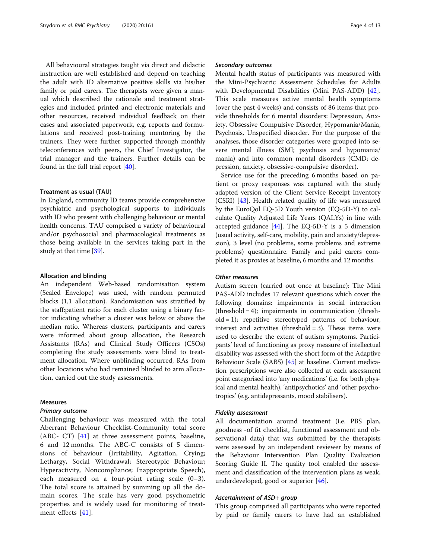All behavioural strategies taught via direct and didactic instruction are well established and depend on teaching the adult with ID alternative positive skills via his/her family or paid carers. The therapists were given a manual which described the rationale and treatment strategies and included printed and electronic materials and other resources, received individual feedback on their cases and associated paperwork, e.g. reports and formulations and received post-training mentoring by the trainers. They were further supported through monthly teleconferences with peers, the Chief Investigator, the trial manager and the trainers. Further details can be found in the full trial report [\[40](#page-11-0)].

## Treatment as usual (TAU)

In England, community lD teams provide comprehensive psychiatric and psychological supports to individuals with ID who present with challenging behaviour or mental health concerns. TAU comprised a variety of behavioural and/or psychosocial and pharmacological treatments as those being available in the services taking part in the study at that time [[39](#page-11-0)].

#### Allocation and blinding

An independent Web-based randomisation system (Sealed Envelope) was used, with random permuted blocks (1,1 allocation). Randomisation was stratified by the staff:patient ratio for each cluster using a binary factor indicating whether a cluster was below or above the median ratio. Whereas clusters, participants and carers were informed about group allocation, the Research Assistants (RAs) and Clinical Study Officers (CSOs) completing the study assessments were blind to treatment allocation. Where unblinding occurred, RAs from other locations who had remained blinded to arm allocation, carried out the study assessments.

#### Measures

#### Primary outcome

Challenging behaviour was measured with the total Aberrant Behaviour Checklist-Community total score (ABC- CT) [\[41](#page-11-0)] at three assessment points, baseline, 6 and 12 months. The ABC-C consists of 5 dimensions of behaviour (Irritability, Agitation, Crying; Lethargy, Social Withdrawal; Stereotypic Behaviour; Hyperactivity, Noncompliance; Inappropriate Speech), each measured on a four-point rating scale (0–3). The total score is attained by summing up all the domain scores. The scale has very good psychometric properties and is widely used for monitoring of treatment effects [[41\]](#page-11-0).

## Secondary outcomes

Mental health status of participants was measured with the Mini-Psychiatric Assessment Schedules for Adults with Developmental Disabilities (Mini PAS-ADD) [\[42](#page-11-0)]. This scale measures active mental health symptoms (over the past 4 weeks) and consists of 86 items that provide thresholds for 6 mental disorders: Depression, Anxiety, Obsessive Compulsive Disorder, Hypomania/Mania, Psychosis, Unspecified disorder. For the purpose of the analyses, those disorder categories were grouped into severe mental illness (SMI; psychosis and hypomania/ mania) and into common mental disorders (CMD; depression, anxiety, obsessive-compulsive disorder).

Service use for the preceding 6 months based on patient or proxy responses was captured with the study adapted version of the Client Service Receipt Inventory (CSRI) [\[43\]](#page-11-0). Health related quality of life was measured by the EuroQol EQ-5D Youth version (EQ-5D-Y) to calculate Quality Adjusted Life Years (QALYs) in line with accepted guidance [\[44\]](#page-11-0). The EQ-5D-Y is a 5 dimension (usual activity, self-care, mobility, pain and anxiety/depression), 3 level (no problems, some problems and extreme problems) questionnaire. Family and paid carers completed it as proxies at baseline, 6 months and 12 months.

#### Other measures

Autism screen (carried out once at baseline): The Mini PAS-ADD includes 17 relevant questions which cover the following domains: impairments in social interaction  $(threshold = 4)$ ; impairments in communication (threshold = 1); repetitive stereotyped patterns of behaviour, interest and activities (threshold = 3). These items were used to describe the extent of autism symptoms. Participants' level of functioning as proxy measure of intellectual disability was assessed with the short form of the Adaptive Behaviour Scale (SABS) [\[45\]](#page-11-0) at baseline. Current medication prescriptions were also collected at each assessment point categorised into 'any medications' (i.e. for both physical and mental health), 'antipsychotics' and 'other psychotropics' (e.g. antidepressants, mood stabilisers).

#### Fidelity assessment

All documentation around treatment (i.e. PBS plan, goodness -of fit checklist, functional assessment and observational data) that was submitted by the therapists were assessed by an independent reviewer by means of the Behaviour Intervention Plan Quality Evaluation Scoring Guide II. The quality tool enabled the assessment and classification of the intervention plans as weak, underdeveloped, good or superior [[46](#page-11-0)].

#### Ascertainment of ASD+ group

This group comprised all participants who were reported by paid or family carers to have had an established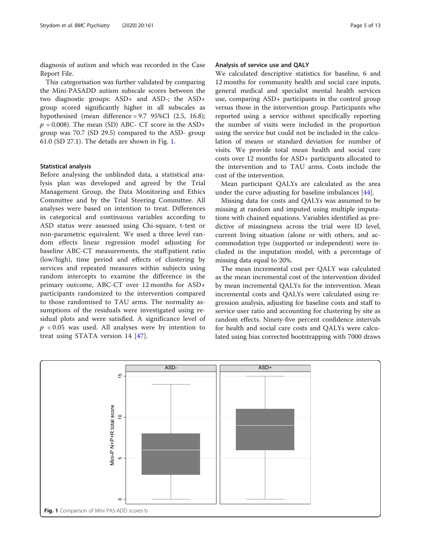diagnosis of autism and which was recorded in the Case Report File.

This categorisation was further validated by comparing the Mini-PASADD autism subscale scores between the two diagnostic groups: ASD+ and ASD-; the ASD+ group scored significantly higher in all subscales as hypothesised (mean difference = 9.7 95%CI (2.5, 16.8);  $p = 0.008$ ). The mean (SD) ABC- CT score in the ASD+ group was 70.7 (SD 29.5) compared to the ASD- group 61.0 (SD 27.1). The details are shown in Fig. 1.

#### Statistical analysis

Before analysing the unblinded data, a statistical analysis plan was developed and agreed by the Trial Management Group, the Data Monitoring and Ethics Committee and by the Trial Steering Committee. All analyses were based on intention to treat. Differences in categorical and continuous variables according to ASD status were assessed using Chi-square, t-test or non-parametric equivalent. We used a three level random effects linear regression model adjusting for baseline ABC-CT measurements, the staff:patient ratio (low/high), time period and effects of clustering by services and repeated measures within subjects using random intercepts to examine the difference in the primary outcome, ABC-CT over 12 months for ASD+ participants randomized to the intervention compared to those randomised to TAU arms. The normality assumptions of the residuals were investigated using residual plots and were satisfied. A significance level of  $p < 0.05$  was used. All analyses were by intention to treat using STATA version 14 [[47\]](#page-12-0).

## Analysis of service use and QALY

We calculated descriptive statistics for baseline, 6 and 12 months for community health and social care inputs, general medical and specialist mental health services use, comparing ASD+ participants in the control group versus those in the intervention group. Participants who reported using a service without specifically reporting the number of visits were included in the proportion using the service but could not be included in the calculation of means or standard deviation for number of visits. We provide total mean health and social care costs over 12 months for ASD+ participants allocated to the intervention and to TAU arms. Costs include the cost of the intervention.

Mean participant QALYs are calculated as the area under the curve adjusting for baseline imbalances [\[44](#page-11-0)].

Missing data for costs and QALYs was assumed to be missing at random and imputed using multiple imputations with chained equations. Variables identified as predictive of missingness across the trial were ID level, current living situation (alone or with others, and accommodation type (supported or independent) were included in the imputation model, with a percentage of missing data equal to 20%.

The mean incremental cost per QALY was calculated as the mean incremental cost of the intervention divided by mean incremental QALYs for the intervention. Mean incremental costs and QALYs were calculated using regression analysis, adjusting for baseline costs and staff to service user ratio and accounting for clustering by site as random effects. Ninety-five percent confidence intervals for health and social care costs and QALYs were calculated using bias corrected bootstrapping with 7000 draws

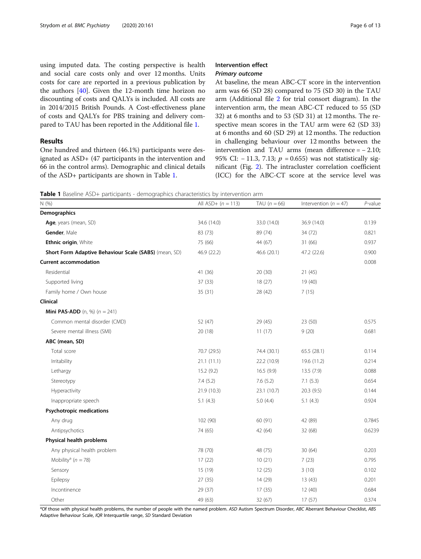using imputed data. The costing perspective is health and social care costs only and over 12 months. Units costs for care are reported in a previous publication by the authors  $[40]$ . Given the 12-month time horizon no discounting of costs and QALYs is included. All costs are in 2014/2015 British Pounds. A Cost-effectiveness plane of costs and QALYs for PBS training and delivery compared to TAU has been reported in the Additional file [1.](#page-10-0)

## Results

One hundred and thirteen (46.1%) participants were designated as ASD+ (47 participants in the intervention and 66 in the control arms). Demographic and clinical details of the ASD+ participants are shown in Table 1.

## Intervention effect Primary outcome

At baseline, the mean ABC-CT score in the intervention arm was 66 (SD 28) compared to 75 (SD 30) in the TAU arm (Additional file [2](#page-10-0) for trial consort diagram). In the intervention arm, the mean ABC-CT reduced to 55 (SD 32) at 6 months and to 53 (SD 31) at 12 months. The respective mean scores in the TAU arm were 62 (SD 33) at 6 months and 60 (SD 29) at 12 months. The reduction in challenging behaviour over 12 months between the intervention and TAU arms (mean difference =  $-2.10$ ; 95% CI: − 11.3, 7.13; *p* = 0.655) was not statistically significant (Fig. [2\)](#page-6-0). The intracluster correlation coefficient (ICC) for the ABC-CT score at the service level was

**Table 1** Baseline ASD+ participants - demographics characteristics by intervention arm

| N(%)                                                  | All ASD+ $(n = 113)$ | TAU $(n = 66)$ | Intervention ( $n = 47$ ) | $P$ -value |
|-------------------------------------------------------|----------------------|----------------|---------------------------|------------|
| <b>Demographics</b>                                   |                      |                |                           |            |
| Age, years (mean, SD)                                 | 34.6 (14.0)          | 33.0 (14.0)    | 36.9 (14.0)               | 0.139      |
| Gender, Male                                          | 83 (73)              | 89 (74)        | 34 (72)                   | 0.821      |
| Ethnic origin, White                                  | 75 (66)              | 44 (67)        | 31 (66)                   | 0.937      |
| Short Form Adaptive Behaviour Scale (SABS) (mean, SD) | 46.9 (22.2)          | 46.6 (20.1)    | 47.2 (22.6)               | 0.900      |
| <b>Current accommodation</b>                          |                      |                |                           | 0.008      |
| Residential                                           | 41 (36)              | 20(30)         | 21(45)                    |            |
| Supported living                                      | 37 (33)              | 18(27)         | 19(40)                    |            |
| Family home / Own house                               | 35(31)               | 28 (42)        | 7(15)                     |            |
| Clinical                                              |                      |                |                           |            |
| <b>Mini PAS-ADD</b> (n, %) ( $n = 241$ )              |                      |                |                           |            |
| Common mental disorder (CMD)                          | 52 (47)              | 29 (45)        | 23 (50)                   | 0.575      |
| Severe mental illness (SMI)                           | 20 (18)              | 11(17)         | 9(20)                     | 0.681      |
| ABC (mean, SD)                                        |                      |                |                           |            |
| Total score                                           | 70.7 (29.5)          | 74.4 (30.1)    | 65.5 (28.1)               | 0.114      |
| Irritability                                          | 21.1 (11.1)          | 22.2 (10.9)    | 19.6 (11.2)               | 0.214      |
| Lethargy                                              | 15.2(9.2)            | 16.5(9.9)      | 13.5(7.9)                 | 0.088      |
| Stereotypy                                            | 7.4(5.2)             | 7.6(5.2)       | 7.1(5.3)                  | 0.654      |
| Hyperactivity                                         | 21.9 (10.3)          | 23.1 (10.7)    | 20.3 (9.5)                | 0.144      |
| Inappropriate speech                                  | 5.1(4.3)             | 5.0(4.4)       | 5.1(4.3)                  | 0.924      |
| <b>Psychotropic medications</b>                       |                      |                |                           |            |
| Any drug                                              | 102 (90)             | 60 (91)        | 42 (89)                   | 0.7845     |
| Antipsychotics                                        | 74 (65)              | 42 (64)        | 32 (68)                   | 0.6239     |
| Physical health problems                              |                      |                |                           |            |
| Any physical health problem                           | 78 (70)              | 48 (75)        | 30(64)                    | 0.203      |
| Mobility <sup>a</sup> ( $n = 78$ )                    | 17(22)               | 10(21)         | 7(23)                     | 0.795      |
| Sensory                                               | 15 (19)              | 12(25)         | 3(10)                     | 0.102      |
| Epilepsy                                              | 27(35)               | 14 (29)        | 13(43)                    | 0.201      |
| Incontinence                                          | 29 (37)              | 17(35)         | 12(40)                    | 0.684      |
| Other                                                 | 49 (63)              | 32 (67)        | 17(57)                    | 0.374      |

<sup>a</sup>Of those with physical health problems, the number of people with the named problem. ASD Autism Spectrum Disorder, ABC Aberrant Behaviour Checklist, ABS Adaptive Behaviour Scale, IQR Interquartile range, SD Standard Deviation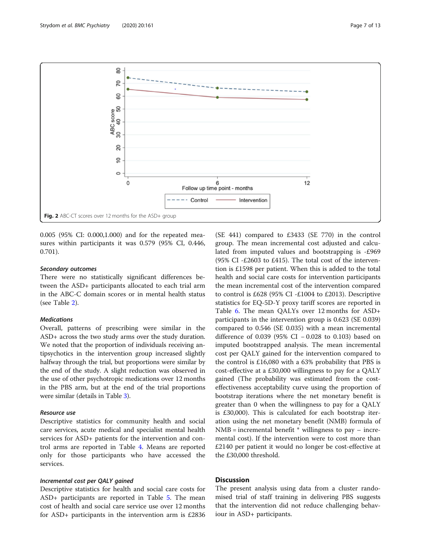<span id="page-6-0"></span>

0.005 (95% CI: 0.000,1.000) and for the repeated measures within participants it was 0.579 (95% CI, 0.446, 0.701).

#### Secondary outcomes

There were no statistically significant differences between the ASD+ participants allocated to each trial arm in the ABC-C domain scores or in mental health status (see Table [2](#page-7-0)).

## Medications

Overall, patterns of prescribing were similar in the ASD+ across the two study arms over the study duration. We noted that the proportion of individuals receiving antipsychotics in the intervention group increased slightly halfway through the trial, but proportions were similar by the end of the study. A slight reduction was observed in the use of other psychotropic medications over 12 months in the PBS arm, but at the end of the trial proportions were similar (details in Table [3\)](#page-7-0).

#### Resource use

Descriptive statistics for community health and social care services, acute medical and specialist mental health services for ASD+ patients for the intervention and control arms are reported in Table [4.](#page-8-0) Means are reported only for those participants who have accessed the services.

## Incremental cost per QALY gained

Descriptive statistics for health and social care costs for ASD+ participants are reported in Table [5](#page-9-0). The mean cost of health and social care service use over 12 months for ASD+ participants in the intervention arm is £2836

(SE 441) compared to £3433 (SE 770) in the control group. The mean incremental cost adjusted and calculated from imputed values and bootstrapping is -£969 (95% CI -£2603 to £415). The total cost of the intervention is £1598 per patient. When this is added to the total health and social care costs for intervention participants the mean incremental cost of the intervention compared to control is £628 (95% CI -£1004 to £2013). Descriptive statistics for EQ-5D-Y proxy tariff scores are reported in Table [6](#page-9-0). The mean QALYs over 12 months for ASD+ participants in the intervention group is 0.623 (SE 0.039) compared to 0.546 (SE 0.035) with a mean incremental difference of 0.039 (95% CI − 0.028 to 0.103) based on imputed bootstrapped analysis. The mean incremental cost per QALY gained for the intervention compared to the control is £16,080 with a 63% probability that PBS is cost-effective at a £30,000 willingness to pay for a QALY gained (The probability was estimated from the costeffectiveness acceptability curve using the proportion of bootstrap iterations where the net monetary benefit is greater than 0 when the willingness to pay for a QALY is £30,000). This is calculated for each bootstrap iteration using the net monetary benefit (NMB) formula of  $NMB =$  incremental benefit  $*$  willingness to pay – incremental cost). If the intervention were to cost more than £2140 per patient it would no longer be cost-effective at the £30,000 threshold.

## Discussion

The present analysis using data from a cluster randomised trial of staff training in delivering PBS suggests that the intervention did not reduce challenging behaviour in ASD+ participants.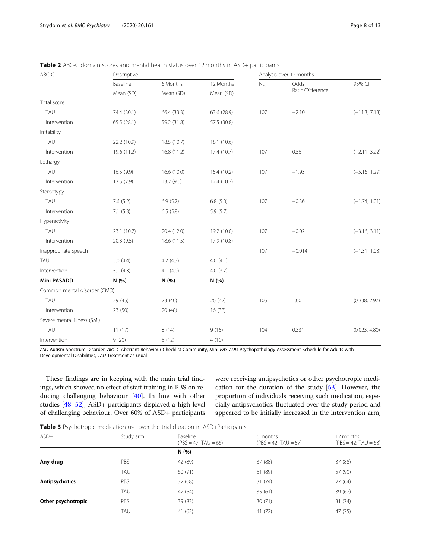| $ABC-C$                      | Descriptive |             |             |              | Analysis over 12 months |                 |  |
|------------------------------|-------------|-------------|-------------|--------------|-------------------------|-----------------|--|
|                              | Baseline    | 6 Months    | 12 Months   | $N_{\rm su}$ | Odds                    | 95% CI          |  |
|                              | Mean (SD)   | Mean (SD)   | Mean (SD)   |              | Ratio/Difference        |                 |  |
| Total score                  |             |             |             |              |                         |                 |  |
| TAU                          | 74.4 (30.1) | 66.4 (33.3) | 63.6 (28.9) | 107          | $-2.10$                 | $(-11.3, 7.13)$ |  |
| Intervention                 | 65.5 (28.1) | 59.2 (31.8) | 57.5 (30.8) |              |                         |                 |  |
| Irritability                 |             |             |             |              |                         |                 |  |
| TAU                          | 22.2 (10.9) | 18.5 (10.7) | 18.1 (10.6) |              |                         |                 |  |
| Intervention                 | 19.6 (11.2) | 16.8 (11.2) | 17.4 (10.7) | 107          | 0.56                    | $(-2.11, 3.22)$ |  |
| Lethargy                     |             |             |             |              |                         |                 |  |
| TAU                          | 16.5 (9.9)  | 16.6 (10.0) | 15.4 (10.2) | 107          | $-1.93$                 | $(-5.16, 1.29)$ |  |
| Intervention                 | 13.5 (7.9)  | 13.2 (9.6)  | 12.4(10.3)  |              |                         |                 |  |
| Stereotypy                   |             |             |             |              |                         |                 |  |
| TAU                          | 7.6(5.2)    | 6.9(5.7)    | 6.8(5.0)    | 107          | $-0.36$                 | $(-1.74, 1.01)$ |  |
| Intervention                 | 7.1(5.3)    | 6.5(5.8)    | 5.9(5.7)    |              |                         |                 |  |
| Hyperactivity                |             |             |             |              |                         |                 |  |
| TAU                          | 23.1 (10.7) | 20.4 (12.0) | 19.2 (10.0) | 107          | $-0.02$                 | $(-3.16, 3.11)$ |  |
| Intervention                 | 20.3(9.5)   | 18.6 (11.5) | 17.9 (10.8) |              |                         |                 |  |
| Inappropriate speech         |             |             |             | 107          | $-0.014$                | $(-1.31, 1.03)$ |  |
| TAU                          | 5.0(4.4)    | 4.2(4.3)    | 4.0(4.1)    |              |                         |                 |  |
| Intervention                 | 5.1(4.3)    | 4.1(4.0)    | 4.0(3.7)    |              |                         |                 |  |
| Mini-PASADD                  | N(%)        | N(% )       | N(% )       |              |                         |                 |  |
| Common mental disorder (CMD) |             |             |             |              |                         |                 |  |
| TAU                          | 29 (45)     | 23 (40)     | 26 (42)     | 105          | 1.00                    | (0.338, 2.97)   |  |
| Intervention                 | 23 (50)     | 20 (48)     | 16 (38)     |              |                         |                 |  |
| Severe mental illness (SMI)  |             |             |             |              |                         |                 |  |
| TAU                          | 11(17)      | 8(14)       | 9(15)       | 104          | 0.331                   | (0.023, 4.80)   |  |
| Intervention                 | 9(20)       | 5(12)       | 4(10)       |              |                         |                 |  |

<span id="page-7-0"></span>Table 2 ABC-C domain scores and mental health status over 12 months in ASD+ participants

ASD Autism Spectrum Disorder, ABC-C Aberrant Behaviour Checklist-Community, Mini PAS-ADD Psychopathology Assessment Schedule for Adults with Developmental Disabilities, TAU Treatment as usual

These findings are in keeping with the main trial findings, which showed no effect of staff training in PBS on reducing challenging behaviour [[40\]](#page-11-0). In line with other studies [[48](#page-12-0)–[52\]](#page-12-0), ASD+ participants displayed a high level of challenging behaviour. Over 60% of ASD+ participants were receiving antipsychotics or other psychotropic medication for the duration of the study [\[53\]](#page-12-0). However, the proportion of individuals receiving such medication, especially antipsychotics, fluctuated over the study period and appeared to be initially increased in the intervention arm,

Table 3 Psychotropic medication use over the trial duration in ASD+Participants

| $ASD+$<br>Study arm |     | Baseline<br>$(PBS = 47; TAU = 66)$ | 6 months<br>$(PBS = 42; TAU = 57)$ | 12 months<br>$(PBS = 42; TAU = 63)$ |
|---------------------|-----|------------------------------------|------------------------------------|-------------------------------------|
|                     |     | N (%)                              |                                    |                                     |
| Any drug            | PBS | 42 (89)                            | 37 (88)                            | 37 (88)                             |
|                     | TAU | 60 (91)                            | 51 (89)                            | 57 (90)                             |
| Antipsychotics      | PBS | 32 (68)                            | 31(74)                             | 27(64)                              |
|                     | TAU | 42 (64)                            | 35(61)                             | 39 (62)                             |
| Other psychotropic  | PBS | 39 (83)                            | 30(71)                             | 31(74)                              |
|                     | TAU | 41 (62)                            | 41 (72)                            | 47 (75)                             |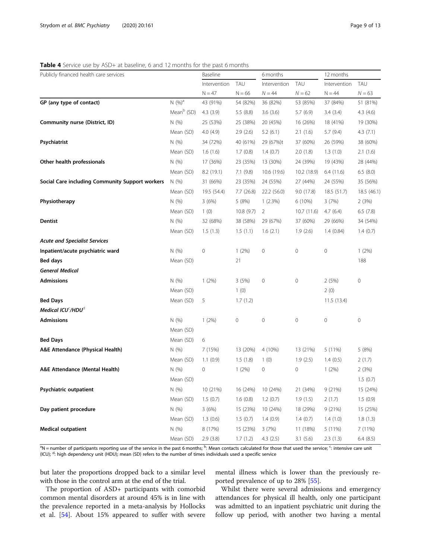#### <span id="page-8-0"></span>Table 4 Service use by ASD+ at baseline, 6 and 12 months for the past 6 months

| Publicly financed health care services          |                        | Baseline     |           | 6 months     |             | 12 months    |             |
|-------------------------------------------------|------------------------|--------------|-----------|--------------|-------------|--------------|-------------|
|                                                 |                        | Intervention | TAU       | Intervention | <b>TAU</b>  | Intervention | TAU         |
|                                                 |                        | $N = 47$     | $N = 66$  | $N = 44$     | $N = 62$    | $N = 44$     | $N = 63$    |
| GP (any type of contact)                        | $N(%)^a$               | 43 (91%)     | 54 (82%)  | 36 (82%)     | 53 (85%)    | 37 (84%)     | 51 (81%)    |
|                                                 | Mean <sup>b</sup> (SD) | 4.3(3.9)     | 5.5(8.8)  | 3.6(3.6)     | 5.7(6.9)    | 3.4(3.4)     | 4.3(4.6)    |
| Community nurse (District, ID)                  | N (%)                  | 25 (53%)     | 25 (38%)  | 20 (45%)     | 16 (26%)    | 18 (41%)     | 19 (30%)    |
|                                                 | Mean (SD)              | 4.0(4.9)     | 2.9(2.6)  | 5.2(6.1)     | 2.1(1.6)    | 5.7(9.4)     | 4.3(7.1)    |
| Psychiatrist                                    | N (%)                  | 34 (72%)     | 40 (61%)  | 29 (67%)t    | 37 (60%)    | 26 (59%)     | 38 (60%)    |
|                                                 | Mean (SD)              | 1.6(1.6)     | 1.7(0.8)  | 1.4(0.7)     | 2.0(1.8)    | 1.3(1.0)     | 2.1(1.6)    |
| Other health professionals                      | N (%)                  | 17 (36%)     | 23 (35%)  | 13 (30%)     | 24 (39%)    | 19 (43%)     | 28 (44%)    |
|                                                 | Mean (SD)              | 8.2 (19.1)   | 7.1(9.8)  | 10.6(19.6)   | 10.2 (18.9) | 6.4(11.6)    | 6.5(8.0)    |
| Social Care including Community Support workers | N (%)                  | 31 (66%)     | 23 (35%)  | 24 (55%)     | 27 (44%)    | 24 (55%)     | 35 (56%)    |
|                                                 | Mean (SD)              | 19.5 (54.4)  | 7.7(26.8) | 22.2 (56.0)  | 9.0 (17.8)  | 18.5 (51.7)  | 18.5 (46.1) |
| Physiotherapy                                   | N (%)                  | 3(6%)        | 5 (8%)    | 1(2.3%)      | 6 (10%)     | 3(7%)        | 2(3%)       |
|                                                 | Mean (SD)              | 1(0)         | 10.8(9.7) | 2            | 10.7(11.6)  | 4.7(6.4)     | 6.5(7.8)    |
| <b>Dentist</b>                                  | N (%)                  | 32 (68%)     | 38 (58%)  | 29 (67%)     | 37 (60%)    | 29 (66%)     | 34 (54%)    |
|                                                 | Mean (SD)              | 1.5(1.3)     | 1.5(1.1)  | 1.6(2.1)     | 1.9(2.6)    | 1.4(0.84)    | 1.4(0.7)    |
| <b>Acute and Specialist Services</b>            |                        |              |           |              |             |              |             |
| Inpatient/acute psychiatric ward                | N (%)                  | 0            | 1(2%)     | 0            | $\mathbb O$ | $\mathbf 0$  | 1(2%)       |
| <b>Bed days</b>                                 | Mean (SD)              |              | 21        |              |             |              | 188         |
| <b>General Medical</b>                          |                        |              |           |              |             |              |             |
| Admissions                                      | N (%)                  | 1(2%)        | 3(5%)     | 0            | $\mathbf 0$ | 2(5%)        | 0           |
|                                                 | Mean (SD)              |              | 1(0)      |              |             | 2(0)         |             |
| <b>Bed Days</b>                                 | Mean (SD)              | 5            | 1.7(1.2)  |              |             | 11.5(13.4)   |             |
| Medical ICU <sup>c</sup> /HDU <sup>d</sup>      |                        |              |           |              |             |              |             |
| Admissions                                      | N (%)                  | 1(2%)        | 0         | 0            | $\mathbb O$ | $\mathbf 0$  | 0           |
|                                                 | Mean (SD)              |              |           |              |             |              |             |
| <b>Bed Days</b>                                 | Mean (SD)              | 6            |           |              |             |              |             |
| A&E Attendance (Physical Health)                | N (%)                  | 7 (15%)      | 13 (20%)  | 4 (10%)      | 13 (21%)    | 5 (11%)      | 5 (8%)      |
|                                                 | Mean (SD)              | 1.1(0.9)     | 1.5(1.8)  | 1(0)         | 1.9(2.5)    | 1.4(0.5)     | 2(1.7)      |
| A&E Attendance (Mental Health)                  | N (%)                  | 0            | 1(2%)     | 0            | 0           | 1(2%)        | 2(3%)       |
|                                                 | Mean (SD)              |              |           |              |             |              | 1.5(0.7)    |
| Psychiatric outpatient                          | N (%)                  | 10 (21%)     | 16 (24%)  | 10 (24%)     | 21 (34%)    | 9(21%)       | 15 (24%)    |
|                                                 | Mean (SD)              | 1.5(0.7)     | 1.6(0.8)  | 1.2(0.7)     | 1.9(1.5)    | 2(1.7)       | 1.5(0.9)    |
| Day patient procedure                           | N (%)                  | 3(6%)        | 15 (23%)  | 10 (24%)     | 18 (29%)    | 9(21%)       | 15 (25%)    |
|                                                 | Mean (SD)              | 1.3(0.6)     | 1.5(0.7)  | 1.4(0.9)     | 1.4(0.7)    | 1.4(1.0)     | 1.8(1.3)    |
| <b>Medical outpatient</b>                       | N (%)                  | 8 (17%)      | 15 (23%)  | 3(7%)        | 11 (18%)    | 5 (11%)      | 7 (11%)     |
|                                                 | Mean (SD)              | 2.9(3.8)     | 1.7(1.2)  | 4.3(2.5)     | 3.1(5.6)    | 2.3(1.3)     | 6.4(8.5)    |

<sup>a</sup>N = number of participants reporting use of the service in the past 6 months; <sup>b</sup>: Mean contacts calculated for those that used the service; <sup>c</sup>: intensive care unit (ICU); <sup>d</sup>: high dependency unit (HDU); mean (SD) refers to the number of times individuals used a specific service

but later the proportions dropped back to a similar level with those in the control arm at the end of the trial.

mental illness which is lower than the previously reported prevalence of up to 28% [\[55\]](#page-12-0).

The proportion of ASD+ participants with comorbid common mental disorders at around 45% is in line with the prevalence reported in a meta-analysis by Hollocks et al. [[54](#page-12-0)]. About 15% appeared to suffer with severe

Whilst there were several admissions and emergency attendances for physical ill health, only one participant was admitted to an inpatient psychiatric unit during the follow up period, with another two having a mental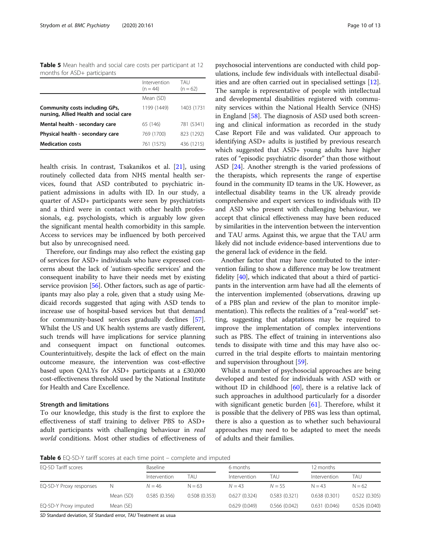<span id="page-9-0"></span>Table 5 Mean health and social care costs per participant at 12 months for ASD+ participants

|                                                                          | Intervention<br>$(n = 44)$ | TAU<br>$(n = 62)$ |
|--------------------------------------------------------------------------|----------------------------|-------------------|
|                                                                          | Mean (SD)                  |                   |
| Community costs including GPs,<br>nursing, Allied Health and social care | 1199 (1449)                | 1403 (1731        |
| Mental health - secondary care                                           | 65 (146)                   | 781 (5341)        |
| Physical health - secondary care                                         | 769 (1700)                 | 823 (1292)        |
| <b>Medication costs</b>                                                  | 761 (1575)                 | 436 (1215)        |

health crisis. In contrast, Tsakanikos et al. [[21\]](#page-11-0), using routinely collected data from NHS mental health services, found that ASD contributed to psychiatric inpatient admissions in adults with ID. In our study, a quarter of ASD+ participants were seen by psychiatrists and a third were in contact with other health professionals, e.g. psychologists, which is arguably low given the significant mental health comorbidity in this sample. Access to services may be influenced by both perceived but also by unrecognised need.

Therefore, our findings may also reflect the existing gap of services for ASD+ individuals who have expressed concerns about the lack of 'autism-specific services' and the consequent inability to have their needs met by existing service provision [[56](#page-12-0)]. Other factors, such as age of participants may also play a role, given that a study using Medicaid records suggested that aging with ASD tends to increase use of hospital-based services but that demand for community-based services gradually declines [[57](#page-12-0)]. Whilst the US and UK health systems are vastly different, such trends will have implications for service planning and consequent impact on functional outcomes. Counterintuitively, despite the lack of effect on the main outcome measure, the intervention was cost-effective based upon QALYs for ASD+ participants at a £30,000 cost-effectiveness threshold used by the National Institute for Health and Care Excellence.

#### Strength and limitations

To our knowledge, this study is the first to explore the effectiveness of staff training to deliver PBS to ASD+ adult participants with challenging behaviour in *real* world conditions. Most other studies of effectiveness of psychosocial interventions are conducted with child populations, include few individuals with intellectual disabilities and are often carried out in specialised settings [\[12](#page-11-0)]. The sample is representative of people with intellectual and developmental disabilities registered with community services within the National Health Service (NHS) in England [[58\]](#page-12-0). The diagnosis of ASD used both screening and clinical information as recorded in the study Case Report File and was validated. Our approach to identifying ASD+ adults is justified by previous research which suggested that ASD+ young adults have higher rates of "episodic psychiatric disorder" than those without ASD [\[24\]](#page-11-0). Another strength is the varied professions of the therapists, which represents the range of expertise found in the community ID teams in the UK. However, as intellectual disability teams in the UK already provide comprehensive and expert services to individuals with ID and ASD who present with challenging behaviour, we accept that clinical effectiveness may have been reduced by similarities in the intervention between the intervention and TAU arms. Against this, we argue that the TAU arm likely did not include evidence-based interventions due to the general lack of evidence in the field.

Another factor that may have contributed to the intervention failing to show a difference may be low treatment fidelity [\[40\]](#page-11-0), which indicated that about a third of participants in the intervention arm have had all the elements of the intervention implemented (observations, drawing up of a PBS plan and review of the plan to monitor implementation). This reflects the realities of a "real-world" setting, suggesting that adaptations may be required to improve the implementation of complex interventions such as PBS. The effect of training in interventions also tends to dissipate with time and this may have also occurred in the trial despite efforts to maintain mentoring and supervision throughout [\[59\]](#page-12-0).

Whilst a number of psychosocial approaches are being developed and tested for individuals with ASD with or without ID in childhood [\[60](#page-12-0)], there is a relative lack of such approaches in adulthood particularly for a disorder with significant genetic burden [\[61\]](#page-12-0). Therefore, whilst it is possible that the delivery of PBS was less than optimal, there is also a question as to whether such behavioural approaches may need to be adapted to meet the needs of adults and their families.

Table 6 EQ-5D-Y tariff scores at each time point – complete and imputed

| EO-5D Tariff scores     |           | Baseline     |              | 6 months     |              | 12 months    |              |
|-------------------------|-----------|--------------|--------------|--------------|--------------|--------------|--------------|
|                         |           | Intervention | TAU          | Intervention | tau          | Intervention | TAU          |
| EQ-5D-Y Proxy responses | N         | $N = 46$     | $N = 63$     | $N = 43$     | $N = 55$     | $N = 43$     | $N = 62$     |
|                         | Mean (SD) | 0.585(0.356) | 0.508(0.353) | 0.627(0.324) | 0.583(0.321) | 0.638(0.301) | 0.522(0.305) |
| EQ-5D-Y Proxy imputed   | Mean (SE) |              |              | 0.629(0.049) | 0.566(0.042) | 0.631(0.046) | 0.526(0.040) |

SD Standard deviation, SE Standard error, TAU Treatment as usua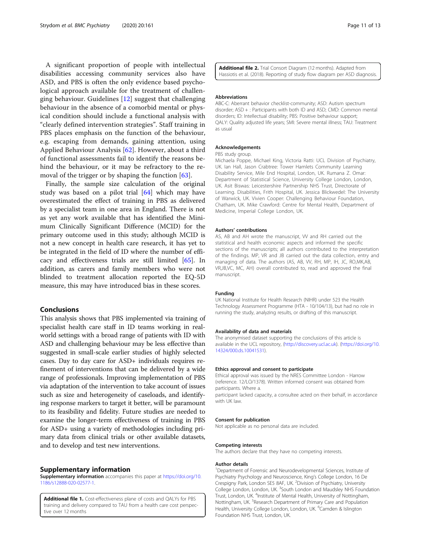<span id="page-10-0"></span>A significant proportion of people with intellectual disabilities accessing community services also have ASD, and PBS is often the only evidence based psychological approach available for the treatment of challenging behaviour. Guidelines [\[12](#page-11-0)] suggest that challenging behaviour in the absence of a comorbid mental or physical condition should include a functional analysis with "clearly defined intervention strategies". Staff training in PBS places emphasis on the function of the behaviour, e.g. escaping from demands, gaining attention, using Applied Behaviour Analysis [[62\]](#page-12-0). However, about a third of functional assessments fail to identify the reasons behind the behaviour, or it may be refractory to the removal of the trigger or by shaping the function [[63\]](#page-12-0).

Finally, the sample size calculation of the original study was based on a pilot trial [\[64\]](#page-12-0) which may have overestimated the effect of training in PBS as delivered by a specialist team in one area in England. There is not as yet any work available that has identified the Minimum Clinically Significant Difference (MCID) for the primary outcome used in this study; although MCID is not a new concept in health care research, it has yet to be integrated in the field of ID where the number of efficacy and effectiveness trials are still limited [[65\]](#page-12-0). In addition, as carers and family members who were not blinded to treatment allocation reported the EQ-5D measure, this may have introduced bias in these scores.

#### Conclusions

This analysis shows that PBS implemented via training of specialist health care staff in ID teams working in realworld settings with a broad range of patients with ID with ASD and challenging behaviour may be less effective than suggested in small-scale earlier studies of highly selected cases. Day to day care for ASD+ individuals requires refinement of interventions that can be delivered by a wide range of professionals. Improving implementation of PBS via adaptation of the intervention to take account of issues such as size and heterogeneity of caseloads, and identifying response markers to target it better, will be paramount to its feasibility and fidelity. Future studies are needed to examine the longer-term effectiveness of training in PBS for ASD+ using a variety of methodologies including primary data from clinical trials or other available datasets, and to develop and test new interventions.

#### Supplementary information

Supplementary information accompanies this paper at [https://doi.org/10.](https://doi.org/10.1186/s12888-020-02577-1) [1186/s12888-020-02577-1](https://doi.org/10.1186/s12888-020-02577-1).

Additional file 1. Cost-effectiveness plane of costs and QALYs for PBS training and delivery compared to TAU from a health care cost perspective over 12 months

Additional file 2. Trial Consort Diagram (12 months). Adapted from Hassiotis et al. (2018). Reporting of study flow diagram per ASD diagnosis.

#### Abbreviations

ABC-C: Aberrant behavior checklist-community; ASD: Autism spectrum disorder; ASD + : Participants with both ID and ASD; CMD: Common mental disorders; ID: Intellectual disability; PBS: Positive behaviour support; QALY: Quality adjusted life years; SMI: Severe mental illness; TAU: Treatment as usual

#### Acknowledgements

PBS study group.

Michaela Poppe, Michael King, Victoria Ratti: UCL Division of Psychiatry, UK. Ian Hall, Jason Crabtree: Tower Hamlets Community Learning Disability Service, Mile End Hospital, London, UK. Rumana Z. Omar: Department of Statistical Science, University College London, London, UK. Asit Biswas: Leicestershire Partnership NHS Trust, Directorate of Learning. Disabilities, Frith Hospital, UK. Jessica Blickwedel: The University of Warwick, UK. Vivien Cooper: Challenging Behaviour Foundation, Chatham, UK. Mike Crawford: Centre for Mental Health, Department of Medicine, Imperial College London, UK.

#### Authors' contributions

AS, AB and AH wrote the manuscript, VV and RH carried out the statistical and health economic aspects and informed the specific sections of the manuscripts; all authors contributed to the interpretation of the findings. MP, VR and JB carried out the data collection, entry and managing of data. The authors (AS, AB, VV, RH, MP, IH, JC, RO,MK,AB, VR,JB,VC, MC, AH) overall contributed to, read and approved the final manuscript.

#### Funding

UK National Institute for Health Research (NIHR) under 523 the Health Technology Assessment Programme (HTA - 10/104/13), but had no role in running the study, analyzing results, or drafting of this manuscript.

#### Availability of data and materials

The anonymised dataset supporting the conclusions of this article is available in the UCL repository, ([http://discovery.ucl.ac.uk\)](http://discovery.ucl.ac.uk). [\(https://doi.org/10.](https://doi.org/10.14324/000.ds.10041531) [14324/000.ds.10041531](https://doi.org/10.14324/000.ds.10041531)).

#### Ethics approval and consent to participate

Ethical approval was issued by the NRES Committee London - Harrow (reference. 12/LO/1378). Written informed consent was obtained from participants. Where a.

participant lacked capacity, a consultee acted on their behalf, in accordance with UK law.

#### Consent for publication

Not applicable as no personal data are included.

#### Competing interests

The authors declare that they have no competing interests.

#### Author details

<sup>1</sup>Department of Forensic and Neurodevelopmental Sciences, Institute of Psychiatry Psychology and Neuroscience, King's College London, 16 De Crespigny Park, London SE5 8AF, UK. <sup>2</sup> Division of Psychiatry, University College London, London, UK. <sup>3</sup>South London and Maudsley NHS Foundation Trust, London, UK. <sup>4</sup>Institute of Mental Health, University of Nottingham, Nottingham, UK.<sup>5</sup> Research Department of Primary Care and Population Health, University College London, London, UK. <sup>6</sup>Camden & Islington Foundation NHS Trust, London, UK.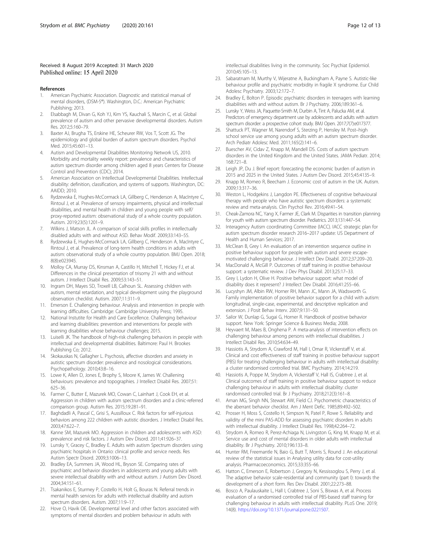#### <span id="page-11-0"></span>Received: 8 August 2019 Accepted: 31 March 2020 Published online: 15 April 2020

#### References

- 1. American Psychiatric Association. Diagnostic and statistical manual of mental disorders, (DSM-5®). Washington, D.C.: American Psychiatric Publishing; 2013.
- 2. Elsabbagh M, Divan G, Koh YJ, Kim YS, Kauchali S, Marcin C, et al. Global prevalence of autism and other pervasive developmental disorders. Autism Res. 2012;5:160–79.
- Baxter AJ, Brugha TS, Erskine HE, Scheurer RW, Vos T, Scott JG. The epidemiology and global burden of autism spectrum disorders. Psychol Med. 2015;45:601–13.
- 4. Autism and Developmental Disabilities Monitoring Network US, 2010. Morbidity and mortality weekly report: prevalence and characteristics of autism spectrum disorder among children aged 8 years Centers for Disease Control and Prevention (CDC); 2014.
- 5. American Association on Intellectual Developmental Disabilities. Intellectual disability: definition, classification, and systems of supports. Washington, DC: AAIDD; 2010.
- 6. Rydzewska E, Hughes-McCormack LA, Gillberg C, Henderson A, MacIntyre C, Rintoul J, et al. Prevalence of sensory impairments, physical and intellectual disabilities, and mental health in children and young people with self/ proxy-reported autism: observational study of a whole country population. Autism. 2019;23(5):1201–9.
- 7. Wilkins J, Matson JL. A comparison of social skills profiles in intellectually disabled adults with and without ASD. Behav Modif. 2009;33:143–55.
- Rydzewska E, Hughes-McCormack LA, Gillberg C, Henderson A, MacIntyre C, Rintoul J, et al. Prevalence of long-term health conditions in adults with autism: observational study of a whole country population. BMJ Open. 2018; 8(8):e023945.
- 9. Molloy CA, Murray DS, Kinsman A, Castillo H, Mitchell T, Hickey FJ, et al. Differences in the clinical presentation of trisomy 21 with and without autism. J Intellect Disabil Res. 2009;53:143–51.
- 10. Ingram DH, Mayes SD, Troxell LB, Calhoun SL. Assessing children with autism, mental retardation, and typical development using the playground observation checklist. Autism. 2007;11:311–9.
- 11. Emerson E. Challenging behaviour. Analysis and intervention in people with learning difficulties. Cambridge: Cambridge University Press; 1995.
- 12. National Instutite for Health and Care Excellence. Challenging behaviour and learning disabilities: prevention and interventions for people with learning disabilities whose behaviour challenges; 2015.
- 13. Luiselli JK. The handbook of high-risk challenging behaviors in people with intellectual and developmental disabilities. Baltimore: Paul H. Brookes Publishing Co; 2012.
- 14. Skokauskas N, Gallagher L. Psychosis, affective disorders and anxiety in autistic spectrum disorder: prevalence and nosological considerations. Psychopathology. 2010;43:8–16.
- 15. Lowe K, Allen D, Jones E, Brophy S, Moore K, James W. Challening behaviours: prevalence and topographies. J Intellect Disabil Res. 2007;51: 625–36.
- 16. Farmer C, Butter E, Mazurek MO, Cowan C, Lainhart J, Cook EH, et al. Aggression in children with autism spectrum disorders and a clinic-referred comparison group. Autism Res. 2015;19:281–91.
- 17. Baghdadli A, Pascal C, Grisi S, Aussilloux C. Risk factors for self-injurious behaviors among 222 children with autistic disorders. J Intellect Disabil Res. 2003;47:622–7.
- 18. Kanne SM, Mazurek MO. Aggression in children and adolescents with ASD: prevalence and risk factors. J Autism Dev Disord. 2011;41:926–37.
- 19. Lunsky Y, Gracey C, Bradley E. Adults with autism Spectrum disorders using psychiatric hospitals in Ontario: clinical profile and service needs. Res Autism Spectr Disord. 2009;3:1006–13.
- 20. Bradley EA, Summers JA, Wood HL, Bryson SE. Comparing rates of psychiatric and behavior disorders in adolescents and young adults with severe intellectual disability with and without autism. J Autism Dev Disord. 2004;34:151–61.
- 21. Tsakanikos E, Sturmey P, Costello H, Holt G, Bouras N. Referral trends in mental health services for adults with intellectual disability and autism spectrum disorders. Autism. 2007;11:9–17.
- 22. Hove O, Havik OE. Developmental level and other factors associated with symptoms of mental disorders and problem behaviour in adults with

intellectual disabilities living in the community. Soc Psychiat Epidemiol. 2010;45:105–13.

- 23. Sabaratnam M, Murthy V, Wijeratne A, Buckingham A, Payne S. Autistic-like behaviour profile and psychiatric morbidity in fragile X syndrome. Eur Child Adolesc Psychiatry. 2003;12:172–7.
- 24. Bradley E, Bolton P. Episodic psychiatric disorders in teenagers with learning disabilities with and without autism. Br J Psychiatry. 2006;189:361–6.
- 25. Lunsky Y, Weiss JA, Paquette-Smith M, Durbin A, Tint A, Palucka AM, et al. Predictors of emergency department use by adolescents and adults with autism spectrum disorder: a prospective cohort study. BMJ Open. 2017;7(7):e017377.
- 26. Shattuck PT, Wagner M, Narendorf S, Sterzing P, Hensley M. Post–high school service use among young adults with an autism spectrum disorder. Arch Pediatr Adolesc Med. 2011;165(2):141–6.
- 27. Buescher AV, Cidav Z, Knapp M, Mandell DS. Costs of autism spectrum disorders in the United Kingdom and the United States. JAMA Pediatr. 2014; 168:721–8.
- 28. Leigh JP, Du J. Brief report: forecasting the economic burden of autism in 2015 and 2025 in the United States. J Autism Dev Disord. 2015;45:4135–9.
- 29. Knapp M, Romeo R, Beecham J. Economic cost of autism in the UK. Autism. 2009;13:317–36.
- 30. Weston L, Hodgekins J, Langdon PE. Effectiveness of cognitive behavioural therapy with people who have autistic spectrum disorders: a systematic review and meta-analysis. Clin Psychol Rev. 2016;49:41–54.
- 31. Cheak-Zamora NC, Yang X, Farmer JE, Clark M. Disparities in transition planning for youth with autism spectrum disorder. Pediatrics. 2013;131:447–54.
- 32. Interagency Autism coordinating Committee (IACC). IACC strategic plan for autism spectrum disorder research 2016–2017 update: US Department of Health and Human Services; 2017.
- 33. McClean B, Grey I. An evaluation of an intervention sequence outline in positive behaviour support for people with autism and severe escapemotivated challenging behaviour. J Intellect Dev Disabil. 2012;37:209–20.
- 34. MacDonald A, McGill P. Outcomes of staff training in positive behaviour support: a systematic review. J Dev Phys Disabil. 2013;25:17–33.
- 35. Grey I, Lydon H, Olive H. Positive behaviour support: what model of disability does it represent? J Intellect Dev Disabil. 2016;41:255–66.
- 36. Lucyshyn JM, Albin RW, Horner RH, Mann JC, Mann JA, Wadsworth G. Family implementation of positive behavior support for a child with autism: longitudinal, single-case, experimental, and descriptive replication and extension. J Posit Behav Interv. 2007;9:131–50.
- Sailor W, Dunlap G, Sugai G, Horner R. Handbook of positive behavior support. New York: Springer Science & Business Media; 2008.
- 38. Heyvaert M, Maes B, Onghena P. A meta-analysis of intervention effects on challenging behaviour among persons with intellectual disabilities. J Intellect Disabil Res. 2010;54:634–49.
- 39. Hassiotis A, Strydom A, Crawford M, Hall I, Omar R, Vickerstaff V, et al. Clinical and cost effectiveness of staff training in positive behaviour support (PBS) for treating challenging behaviour in adults with intellectual disability: a cluster randomised controlled trial. BMC Psychiatry. 2014;14:219.
- 40. Hassiotis A, Poppe M, Strydom A, Vickerstaff V, Hall IS, Crabtree J, et al. Clinical outcomes of staff training in positive behaviour support to reduce challenging behaviour in adults with intellectual disability: cluster randomised controlled trial. Br J Psychiatry. 2018;212(3):161–8.
- 41. Aman MG, Singh NN, Stewart AW, Field CJ. Psychometric characteristics of the aberrant behavior checklist. Am J Ment Defic. 1985;89:492–502.
- 42. Prosser H, Moss S, Costello H, Simpson N, Patel P, Rowe S. Reliability and validity of the mini PAS-ADD for assessing psychiatric disorders in adults with intellectual disability. J Intellect Disabil Res. 1998;42:264–72.
- 43. Strydom A, Romeo R, Perez-Achiaga N, Livingston G, King M, Knapp M, et al. Service use and cost of mental disorders in older adults with intellectual disability. Br J Psychiatry. 2010;196:133–8.
- 44. Hunter RM, Freemantle N, Baio G, Butt T, Morris S, Round J. An educational review of the statistical issues in Analysing utility data for cost-utility analysis. Pharmacoeconomics. 2015;33:355–66.
- 45. Hatton C, Emerson E, Robertson J, Gregory N, Kessissoglou S, Perry J, et al. The adaptive behavior scale-residential and community (part I): towards the development of a short form. Res Dev Disabil. 2001;22:273–88.
- 46. Bosco A, Paulauskaite L, Hall I, Crabtree J, Soni S, Biswas A, et al. Process evaluation of a randomised controlled trial of PBS-based staff training for challenging behaviour in adults with intellectual disability. PLoS One. 2019; 14(8). [https://doi.org/10.1371/journal.pone.0221507.](https://doi.org/10.1371/journal.pone.0221507)